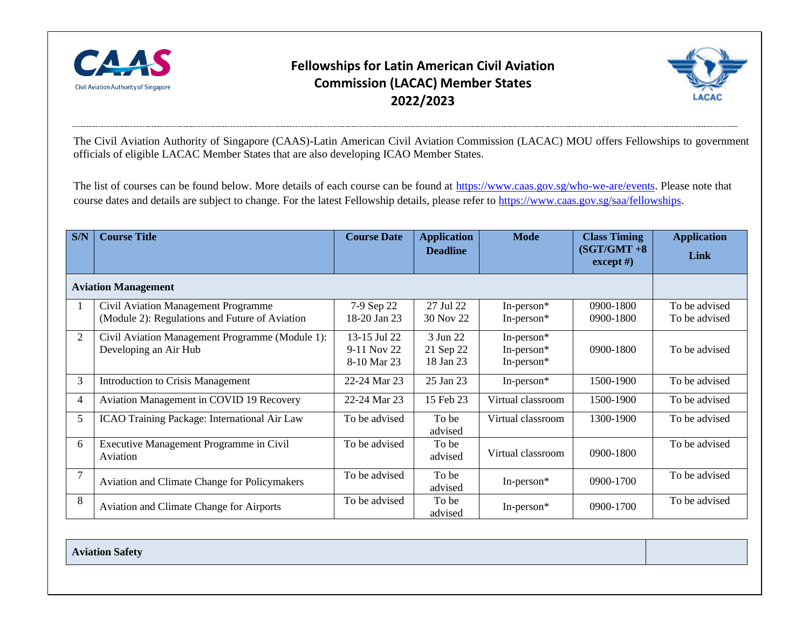

## **Fellowships for Latin American Civil Aviation Commission (LACAC) Member States 2022/2023**



The Civil Aviation Authority of Singapore (CAAS)-Latin American Civil Aviation Commission (LACAC) MOU offers Fellowships to government officials of eligible LACAC Member States that are also developing ICAO Member States.

The list of courses can be found below. More details of each course can be found at [https://www.caas.gov.sg/who-we-are/events.](https://www.caas.gov.sg/who-we-are/events) Please note that course dates and details are subject to change. For the latest Fellowship details, please refer to [https://www.caas.gov.sg/saa/fellowships.](https://www.caas.gov.sg/saa/fellowships)

| S/N                        | <b>Course Title</b>                                                                   | <b>Course Date</b>                         | <b>Application</b><br><b>Deadline</b> | <b>Mode</b>                            | <b>Class Timing</b><br>$(SGT/GMT + 8)$<br>$\operatorname{except}$ #) | <b>Application</b><br>Link     |
|----------------------------|---------------------------------------------------------------------------------------|--------------------------------------------|---------------------------------------|----------------------------------------|----------------------------------------------------------------------|--------------------------------|
| <b>Aviation Management</b> |                                                                                       |                                            |                                       |                                        |                                                                      |                                |
|                            | Civil Aviation Management Programme<br>(Module 2): Regulations and Future of Aviation | 7-9 Sep 22<br>18-20 Jan 23                 | 27 Jul 22<br>30 Nov 22                | In-person*<br>In-person*               | $0900 - 1800$<br>0900-1800                                           | To be advised<br>To be advised |
| $\overline{2}$             | Civil Aviation Management Programme (Module 1):<br>Developing an Air Hub              | 13-15 Jul 22<br>9-11 Nov 22<br>8-10 Mar 23 | 3 Jun 22<br>21 Sep 22<br>18 Jan 23    | In-person*<br>In-person*<br>In-person* | 0900-1800                                                            | To be advised                  |
| 3                          | Introduction to Crisis Management                                                     | 22-24 Mar 23                               | 25 Jan 23                             | In-person*                             | 1500-1900                                                            | To be advised                  |
| 4                          | Aviation Management in COVID 19 Recovery                                              | 22-24 Mar 23                               | 15 Feb 23                             | Virtual classroom                      | 1500-1900                                                            | To be advised                  |
| 5                          | ICAO Training Package: International Air Law                                          | To be advised                              | To be<br>advised                      | Virtual classroom                      | 1300-1900                                                            | To be advised                  |
| 6                          | Executive Management Programme in Civil<br>Aviation                                   | To be advised                              | To be<br>advised                      | Virtual classroom                      | 0900-1800                                                            | To be advised                  |
|                            | <b>Aviation and Climate Change for Policymakers</b>                                   | To be advised                              | To be<br>advised                      | In-person*                             | 0900-1700                                                            | To be advised                  |
| 8                          | <b>Aviation and Climate Change for Airports</b>                                       | To be advised                              | To be<br>advised                      | In-person*                             | 0900-1700                                                            | To be advised                  |

**Aviation Safety**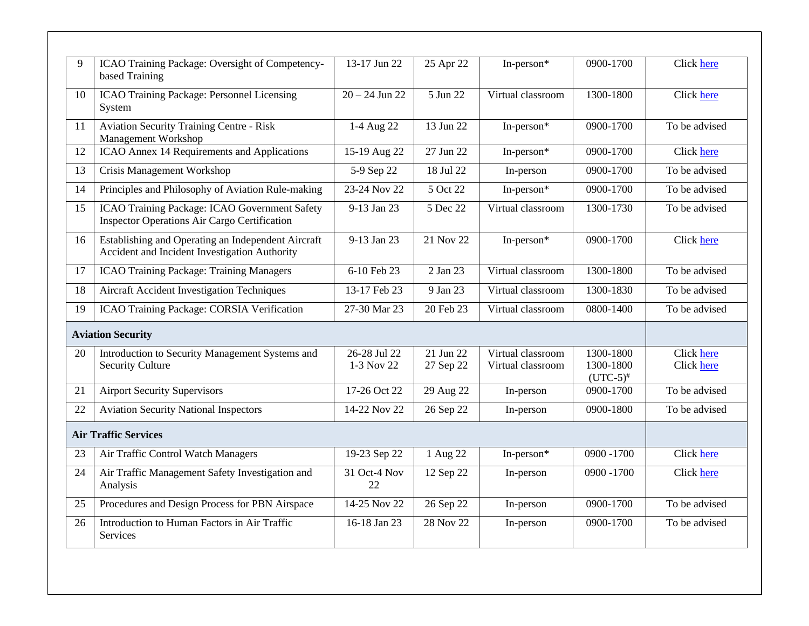| $\mathbf Q$ | ICAO Training Package: Oversight of Competency-<br>based Training                                    | 13-17 Jun 22               | 25 Apr 22              | In-person*                             | 0900-1700                                | Click here                      |
|-------------|------------------------------------------------------------------------------------------------------|----------------------------|------------------------|----------------------------------------|------------------------------------------|---------------------------------|
| 10          | ICAO Training Package: Personnel Licensing<br>System                                                 | $20 - 24$ Jun 22           | 5 Jun 22               | Virtual classroom                      | 1300-1800                                | Click here                      |
| 11          | <b>Aviation Security Training Centre - Risk</b><br>Management Workshop                               | 1-4 Aug 22                 | 13 Jun 22              | In-person*                             | 0900-1700                                | To be advised                   |
| 12          | ICAO Annex 14 Requirements and Applications                                                          | 15-19 Aug 22               | 27 Jun 22              | In-person*                             | 0900-1700                                | Click here                      |
| 13          | Crisis Management Workshop                                                                           | 5-9 Sep 22                 | 18 Jul 22              | In-person                              | 0900-1700                                | To be advised                   |
| 14          | Principles and Philosophy of Aviation Rule-making                                                    | 23-24 Nov 22               | 5 Oct 22               | In-person*                             | 0900-1700                                | To be advised                   |
| 15          | ICAO Training Package: ICAO Government Safety<br><b>Inspector Operations Air Cargo Certification</b> | 9-13 Jan 23                | 5 Dec 22               | Virtual classroom                      | 1300-1730                                | To be advised                   |
| 16          | Establishing and Operating an Independent Aircraft<br>Accident and Incident Investigation Authority  | 9-13 Jan 23                | 21 Nov 22              | In-person $*$                          | 0900-1700                                | Click here                      |
| 17          | <b>ICAO Training Package: Training Managers</b>                                                      | 6-10 Feb 23                | 2 Jan 23               | Virtual classroom                      | 1300-1800                                | To be advised                   |
| 18          | <b>Aircraft Accident Investigation Techniques</b>                                                    | 13-17 Feb 23               | 9 Jan 23               | Virtual classroom                      | 1300-1830                                | To be advised                   |
| 19          | ICAO Training Package: CORSIA Verification                                                           | 27-30 Mar 23               | 20 Feb 23              | Virtual classroom                      | 0800-1400                                | To be advised                   |
|             | <b>Aviation Security</b>                                                                             |                            |                        |                                        |                                          |                                 |
| 20          | Introduction to Security Management Systems and<br><b>Security Culture</b>                           | 26-28 Jul 22<br>1-3 Nov 22 | 21 Jun 22<br>27 Sep 22 | Virtual classroom<br>Virtual classroom | 1300-1800<br>1300-1800<br>$(UTC-5)^{\#}$ | <b>Click here</b><br>Click here |
| 21          | <b>Airport Security Supervisors</b>                                                                  | 17-26 Oct 22               | 29 Aug 22              | In-person                              | 0900-1700                                | To be advised                   |
| 22          | <b>Aviation Security National Inspectors</b>                                                         | 14-22 Nov 22               | 26 Sep 22              | In-person                              | 0900-1800                                | To be advised                   |
|             | <b>Air Traffic Services</b>                                                                          |                            |                        |                                        |                                          |                                 |
| 23          | Air Traffic Control Watch Managers                                                                   | 19-23 Sep 22               | 1 Aug 22               | In-person $*$                          | $0900 - 1700$                            | <b>Click</b> here               |
| 24          | Air Traffic Management Safety Investigation and<br>Analysis                                          | 31 Oct-4 Nov<br>22         | 12 Sep 22              | In-person                              | 0900 - 1700                              | Click here                      |
| 25          | Procedures and Design Process for PBN Airspace                                                       | 14-25 Nov 22               | 26 Sep 22              | In-person                              | 0900-1700                                | To be advised                   |
| 26          | Introduction to Human Factors in Air Traffic<br><b>Services</b>                                      | 16-18 Jan 23               | 28 Nov 22              | In-person                              | 0900-1700                                | To be advised                   |